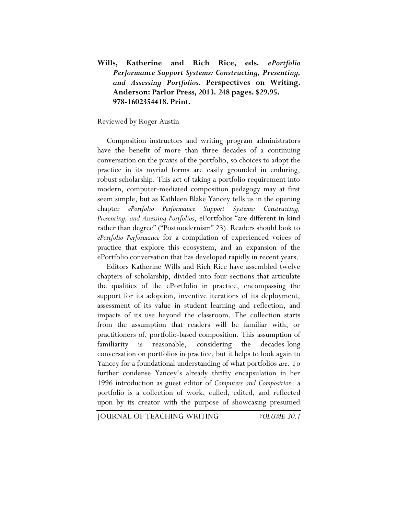## **Wills, Katherine and Rich Rice, eds.** *ePortfolio Performance Support Systems: Constructing, Presenting, and Assessing Portfolios.* **Perspectives on Writing. Anderson: Parlor Press, 2013. 248 pages. \$29.95. 978-1602354418. Print.**

## Reviewed by Roger Austin

Composition instructors and writing program administrators have the benefit of more than three decades of a continuing conversation on the praxis of the portfolio, so choices to adopt the practice in its myriad forms are easily grounded in enduring, robust scholarship. This act of taking a portfolio requirement into modern, computer-mediated composition pedagogy may at first seem simple, but as Kathleen Blake Yancey tells us in the opening chapter *ePortfolio Performance Support Systems: Constructing, Presenting, and Assessing Portfolios*, ePortfolios "are different in kind rather than degree" ("Postmodernism" 23). Readers should look to *ePortfolio Performance* for a compilation of experienced voices of practice that explore this ecosystem, and an expansion of the ePortfolio conversation that has developed rapidly in recent years.

Editors Katherine Wills and Rich Rice have assembled twelve chapters of scholarship, divided into four sections that articulate the qualities of the ePortfolio in practice, encompassing the support for its adoption, inventive iterations of its deployment, assessment of its value in student learning and reflection, and impacts of its use beyond the classroom. The collection starts from the assumption that readers will be familiar with, or practitioners of, portfolio-based composition. This assumption of familiarity is reasonable, considering the decades-long conversation on portfolios in practice, but it helps to look again to Yancey for a foundational understanding of what portfolios *are*. To further condense Yancey's already thrifty encapsulation in her 1996 introduction as guest editor of *Computers and Composition*: a portfolio is a collection of work, culled, edited, and reflected upon by its creator with the purpose of showcasing presumed

JOURNAL OF TEACHING WRITING *VOLUME 30.1*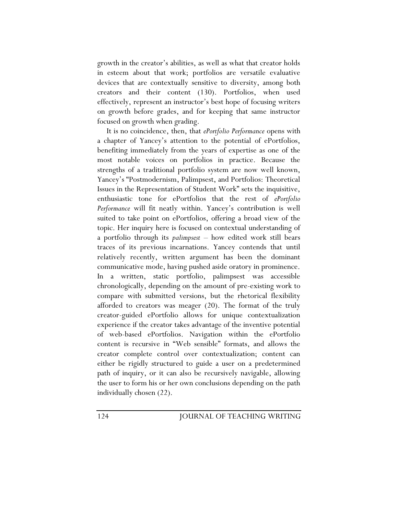growth in the creator's abilities, as well as what that creator holds in esteem about that work; portfolios are versatile evaluative devices that are contextually sensitive to diversity, among both creators and their content (130). Portfolios, when used effectively, represent an instructor's best hope of focusing writers on growth before grades, and for keeping that same instructor focused on growth when grading.

It is no coincidence, then, that *ePortfolio Performance* opens with a chapter of Yancey's attention to the potential of ePortfolios, benefiting immediately from the years of expertise as one of the most notable voices on portfolios in practice. Because the strengths of a traditional portfolio system are now well known, Yancey's "Postmodernism, Palimpsest, and Portfolios: Theoretical Issues in the Representation of Student Work" sets the inquisitive, enthusiastic tone for ePortfolios that the rest of *ePortfolio Performance* will fit neatly within. Yancey's contribution is well suited to take point on ePortfolios, offering a broad view of the topic. Her inquiry here is focused on contextual understanding of a portfolio through its *palimpsest* – how edited work still bears traces of its previous incarnations. Yancey contends that until relatively recently, written argument has been the dominant communicative mode, having pushed aside oratory in prominence. In a written, static portfolio, palimpsest was accessible chronologically, depending on the amount of pre-existing work to compare with submitted versions, but the rhetorical flexibility afforded to creators was meager (20). The format of the truly creator-guided ePortfolio allows for unique contextualization experience if the creator takes advantage of the inventive potential of web-based ePortfolios. Navigation within the ePortfolio content is recursive in "Web sensible" formats, and allows the creator complete control over contextualization; content can either be rigidly structured to guide a user on a predetermined path of inquiry, or it can also be recursively navigable, allowing the user to form his or her own conclusions depending on the path individually chosen (22).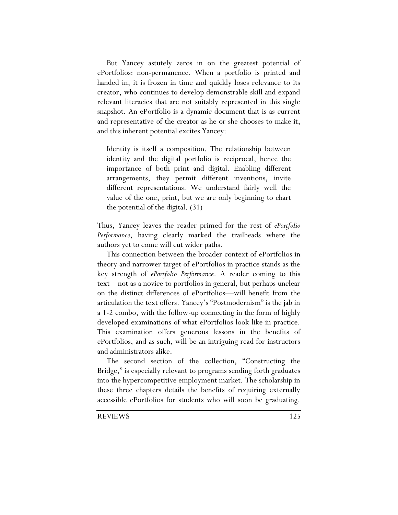But Yancey astutely zeros in on the greatest potential of ePortfolios: non-permanence. When a portfolio is printed and handed in, it is frozen in time and quickly loses relevance to its creator, who continues to develop demonstrable skill and expand relevant literacies that are not suitably represented in this single snapshot. An ePortfolio is a dynamic document that is as current and representative of the creator as he or she chooses to make it, and this inherent potential excites Yancey:

Identity is itself a composition. The relationship between identity and the digital portfolio is reciprocal, hence the importance of both print and digital. Enabling different arrangements, they permit different inventions, invite different representations. We understand fairly well the value of the one, print, but we are only beginning to chart the potential of the digital. (31)

Thus, Yancey leaves the reader primed for the rest of *ePortfolio Performance*, having clearly marked the trailheads where the authors yet to come will cut wider paths.

This connection between the broader context of ePortfolios in theory and narrower target of ePortfolios in practice stands as the key strength of *ePortfolio Performance*. A reader coming to this text—not as a novice to portfolios in general, but perhaps unclear on the distinct differences of ePortfolios—will benefit from the articulation the text offers. Yancey's "Postmodernism" is the jab in a 1-2 combo, with the follow-up connecting in the form of highly developed examinations of what ePortfolios look like in practice. This examination offers generous lessons in the benefits of ePortfolios, and as such, will be an intriguing read for instructors and administrators alike.

The second section of the collection, "Constructing the Bridge," is especially relevant to programs sending forth graduates into the hypercompetitive employment market. The scholarship in these three chapters details the benefits of requiring externally accessible ePortfolios for students who will soon be graduating.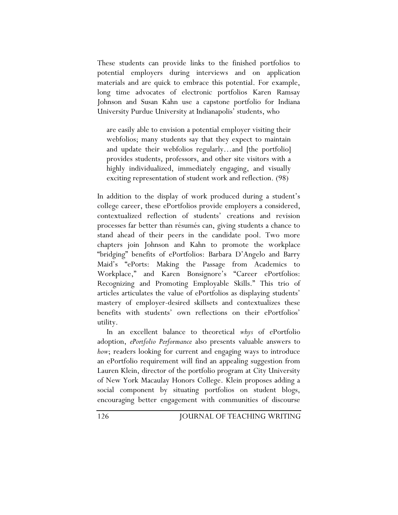These students can provide links to the finished portfolios to potential employers during interviews and on application materials and are quick to embrace this potential. For example, long time advocates of electronic portfolios Karen Ramsay Johnson and Susan Kahn use a capstone portfolio for Indiana University Purdue University at Indianapolis' students, who

are easily able to envision a potential employer visiting their webfolios; many students say that they expect to maintain and update their webfolios regularly…and [the portfolio] provides students, professors, and other site visitors with a highly individualized, immediately engaging, and visually exciting representation of student work and reflection. (98)

In addition to the display of work produced during a student's college career, these ePortfolios provide employers a considered, contextualized reflection of students' creations and revision processes far better than résumés can, giving students a chance to stand ahead of their peers in the candidate pool. Two more chapters join Johnson and Kahn to promote the workplace "bridging" benefits of ePortfolios: Barbara D'Angelo and Barry Maid's "ePorts: Making the Passage from Academics to Workplace," and Karen Bonsignore's "Career ePortfolios: Recognizing and Promoting Employable Skills." This trio of articles articulates the value of ePortfolios as displaying students' mastery of employer-desired skillsets and contextualizes these benefits with students' own reflections on their ePortfolios' utility.

In an excellent balance to theoretical *whys* of ePortfolio adoption, *ePortfolio Performance* also presents valuable answers to *how*; readers looking for current and engaging ways to introduce an ePortfolio requirement will find an appealing suggestion from Lauren Klein, director of the portfolio program at City University of New York Macaulay Honors College. Klein proposes adding a social component by situating portfolios on student blogs, encouraging better engagement with communities of discourse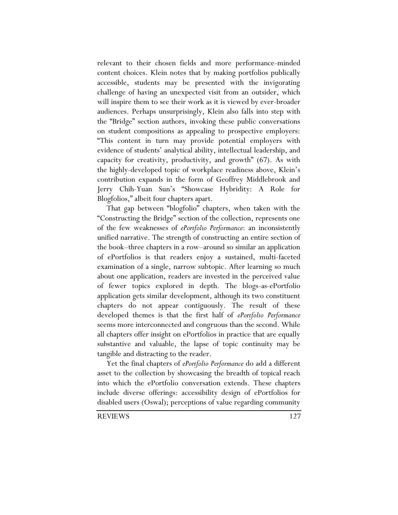relevant to their chosen fields and more performance-minded content choices. Klein notes that by making portfolios publically accessible, students may be presented with the invigorating challenge of having an unexpected visit from an outsider, which will inspire them to see their work as it is viewed by ever-broader audiences. Perhaps unsurprisingly, Klein also falls into step with the "Bridge" section authors, invoking these public conversations on student compositions as appealing to prospective employers: "This content in turn may provide potential employers with evidence of students' analytical ability, intellectual leadership, and capacity for creativity, productivity, and growth" (67). As with the highly-developed topic of workplace readiness above, Klein's contribution expands in the form of Geoffrey Middlebrook and Jerry Chih-Yuan Sun's "Showcase Hybridity: A Role for Blogfolios," albeit four chapters apart.

That gap between "blogfolio" chapters, when taken with the "Constructing the Bridge" section of the collection, represents one of the few weaknesses of *ePortfolio Performance*: an inconsistently unified narrative. The strength of constructing an entire section of the book–three chapters in a row–around so similar an application of ePortfolios is that readers enjoy a sustained, multi-faceted examination of a single, narrow subtopic. After learning so much about one application, readers are invested in the perceived value of fewer topics explored in depth. The blogs-as-ePortfolio application gets similar development, although its two constituent chapters do not appear contiguously. The result of these developed themes is that the first half of *ePortfolio Performance* seems more interconnected and congruous than the second. While all chapters offer insight on ePortfolios in practice that are equally substantive and valuable, the lapse of topic continuity may be tangible and distracting to the reader.

Yet the final chapters of *ePortfolio Performance* do add a different asset to the collection by showcasing the breadth of topical reach into which the ePortfolio conversation extends. These chapters include diverse offerings: accessibility design of ePortfolios for disabled users (Oswal); perceptions of value regarding community